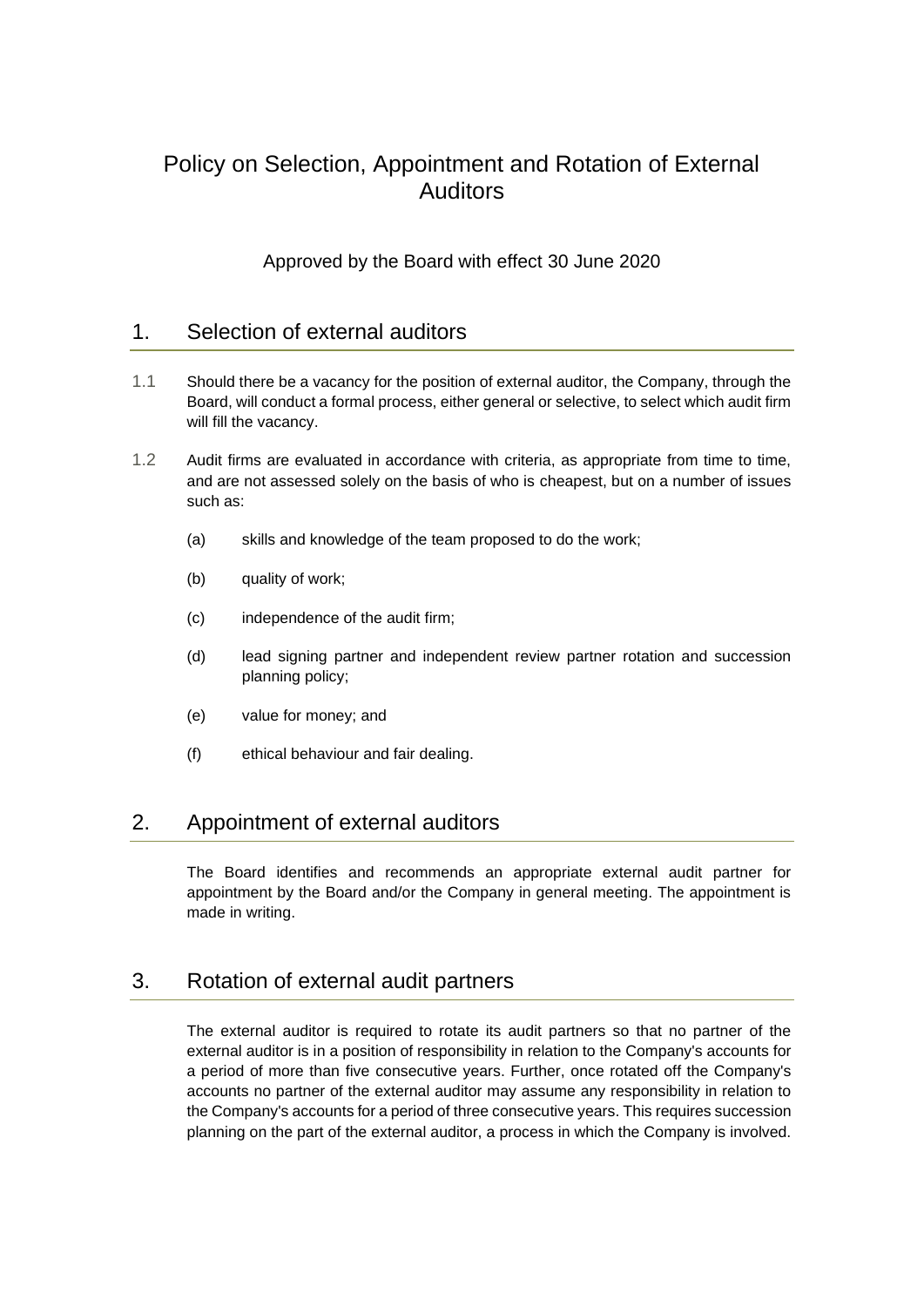# Policy on Selection, Appointment and Rotation of External Auditors

Approved by the Board with effect 30 June 2020

### 1. Selection of external auditors

- 1.1 Should there be a vacancy for the position of external auditor, the Company, through the Board, will conduct a formal process, either general or selective, to select which audit firm will fill the vacancy.
- 1.2 Audit firms are evaluated in accordance with criteria, as appropriate from time to time, and are not assessed solely on the basis of who is cheapest, but on a number of issues such as:
	- (a) skills and knowledge of the team proposed to do the work;
	- (b) quality of work;
	- (c) independence of the audit firm;
	- (d) lead signing partner and independent review partner rotation and succession planning policy;
	- (e) value for money; and
	- (f) ethical behaviour and fair dealing.

#### 2. Appointment of external auditors

The Board identifies and recommends an appropriate external audit partner for appointment by the Board and/or the Company in general meeting. The appointment is made in writing.

#### 3. Rotation of external audit partners

The external auditor is required to rotate its audit partners so that no partner of the external auditor is in a position of responsibility in relation to the Company's accounts for a period of more than five consecutive years. Further, once rotated off the Company's accounts no partner of the external auditor may assume any responsibility in relation to the Company's accounts for a period of three consecutive years. This requires succession planning on the part of the external auditor, a process in which the Company is involved.